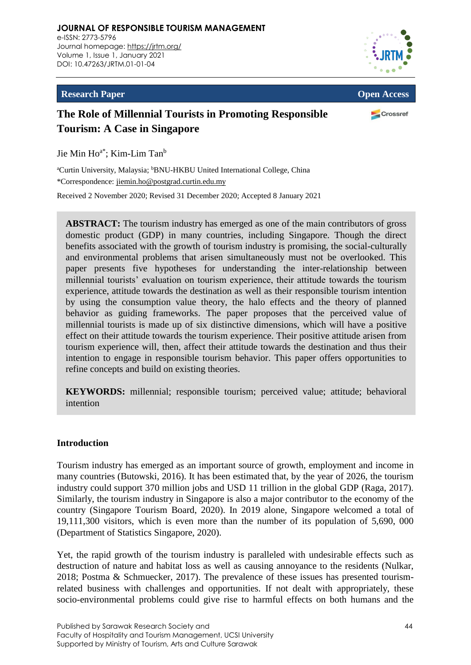**JOURNAL OF RESPONSIBLE TOURISM MANAGEMENT** e-ISSN: 2773-5796 Journal homepage: <https://jrtm.org/> Volume 1, Issue 1, January 2021 DOI: [10.47263/JRTM.01-01-04](https://doi.org/10.47263/JRTM.01-01-04)



### **Research Paper Open Access**

# **The Role of Millennial Tourists in Promoting Responsible Tourism: A Case in Singapore**

Crossref

Jie Min Ho<sup>a\*</sup>; Kim-Lim Tan<sup>b</sup>

<sup>a</sup>Curtin University, Malaysia; <sup>b</sup>BNU-HKBU United International College, China \*Correspondence: [jiemin.ho@postgrad.curtin.edu.my](mailto:jiemin.ho@postgrad.curtin.edu.my)

Received 2 November 2020; Revised 31 December 2020; Accepted 8 January 2021

**ABSTRACT:** The tourism industry has emerged as one of the main contributors of gross domestic product (GDP) in many countries, including Singapore. Though the direct benefits associated with the growth of tourism industry is promising, the social-culturally and environmental problems that arisen simultaneously must not be overlooked. This paper presents five hypotheses for understanding the inter-relationship between millennial tourists' evaluation on tourism experience, their attitude towards the tourism experience, attitude towards the destination as well as their responsible tourism intention by using the consumption value theory, the halo effects and the theory of planned behavior as guiding frameworks. The paper proposes that the perceived value of millennial tourists is made up of six distinctive dimensions, which will have a positive effect on their attitude towards the tourism experience. Their positive attitude arisen from tourism experience will, then, affect their attitude towards the destination and thus their intention to engage in responsible tourism behavior. This paper offers opportunities to refine concepts and build on existing theories.

**KEYWORDS:** millennial; responsible tourism; perceived value; attitude; behavioral intention

# **Introduction**

Tourism industry has emerged as an important source of growth, employment and income in many countries (Butowski, 2016). It has been estimated that, by the year of 2026, the tourism industry could support 370 million jobs and USD 11 trillion in the global GDP (Raga, 2017). Similarly, the tourism industry in Singapore is also a major contributor to the economy of the country (Singapore Tourism Board, 2020). In 2019 alone, Singapore welcomed a total of 19,111,300 visitors, which is even more than the number of its population of 5,690, 000 (Department of Statistics Singapore, 2020).

Yet, the rapid growth of the tourism industry is paralleled with undesirable effects such as destruction of nature and habitat loss as well as causing annoyance to the residents (Nulkar, 2018; Postma & Schmuecker, 2017). The prevalence of these issues has presented tourismrelated business with challenges and opportunities. If not dealt with appropriately, these socio-environmental problems could give rise to harmful effects on both humans and the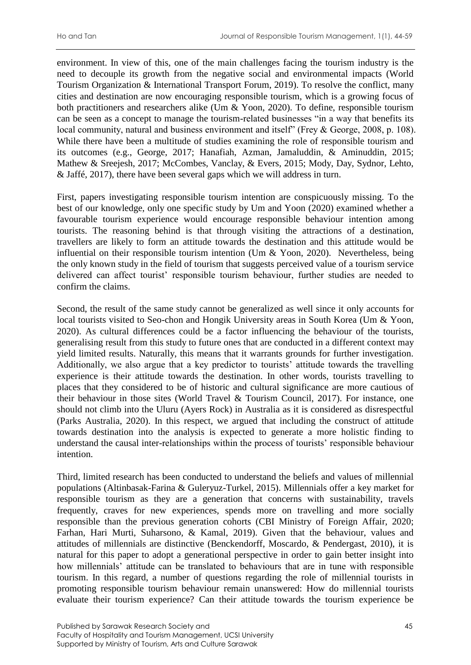environment. In view of this, one of the main challenges facing the tourism industry is the need to decouple its growth from the negative social and environmental impacts (World Tourism Organization & International Transport Forum, 2019). To resolve the conflict, many cities and destination are now encouraging responsible tourism, which is a growing focus of both practitioners and researchers alike (Um & Yoon, 2020). To define, responsible tourism can be seen as a concept to manage the tourism-related businesses "in a way that benefits its local community, natural and business environment and itself" (Frey & George, 2008, p. 108). While there have been a multitude of studies examining the role of responsible tourism and its outcomes (e.g., George, 2017; Hanafiah, Azman, Jamaluddin, & Aminuddin, 2015; Mathew & Sreejesh, 2017; McCombes, Vanclay, & Evers, 2015; Mody, Day, Sydnor, Lehto, & Jaffé, 2017), there have been several gaps which we will address in turn.

First, papers investigating responsible tourism intention are conspicuously missing. To the best of our knowledge, only one specific study by Um and Yoon (2020) examined whether a favourable tourism experience would encourage responsible behaviour intention among tourists. The reasoning behind is that through visiting the attractions of a destination, travellers are likely to form an attitude towards the destination and this attitude would be influential on their responsible tourism intention (Um & Yoon, 2020). Nevertheless, being the only known study in the field of tourism that suggests perceived value of a tourism service delivered can affect tourist' responsible tourism behaviour, further studies are needed to confirm the claims.

Second, the result of the same study cannot be generalized as well since it only accounts for local tourists visited to Seo-chon and Hongik University areas in South Korea (Um & Yoon, 2020). As cultural differences could be a factor influencing the behaviour of the tourists, generalising result from this study to future ones that are conducted in a different context may yield limited results. Naturally, this means that it warrants grounds for further investigation. Additionally, we also argue that a key predictor to tourists' attitude towards the travelling experience is their attitude towards the destination. In other words, tourists travelling to places that they considered to be of historic and cultural significance are more cautious of their behaviour in those sites (World Travel & Tourism Council, 2017). For instance, one should not climb into the Uluru (Ayers Rock) in Australia as it is considered as disrespectful (Parks Australia, 2020). In this respect, we argued that including the construct of attitude towards destination into the analysis is expected to generate a more holistic finding to understand the causal inter-relationships within the process of tourists' responsible behaviour intention.

Third, limited research has been conducted to understand the beliefs and values of millennial populations (Altinbasak-Farina & Guleryuz-Turkel, 2015). Millennials offer a key market for responsible tourism as they are a generation that concerns with sustainability, travels frequently, craves for new experiences, spends more on travelling and more socially responsible than the previous generation cohorts (CBI Ministry of Foreign Affair, 2020; Farhan, Hari Murti, Suharsono, & Kamal, 2019). Given that the behaviour, values and attitudes of millennials are distinctive (Benckendorff, Moscardo, & Pendergast, 2010), it is natural for this paper to adopt a generational perspective in order to gain better insight into how millennials' attitude can be translated to behaviours that are in tune with responsible tourism. In this regard, a number of questions regarding the role of millennial tourists in promoting responsible tourism behaviour remain unanswered: How do millennial tourists evaluate their tourism experience? Can their attitude towards the tourism experience be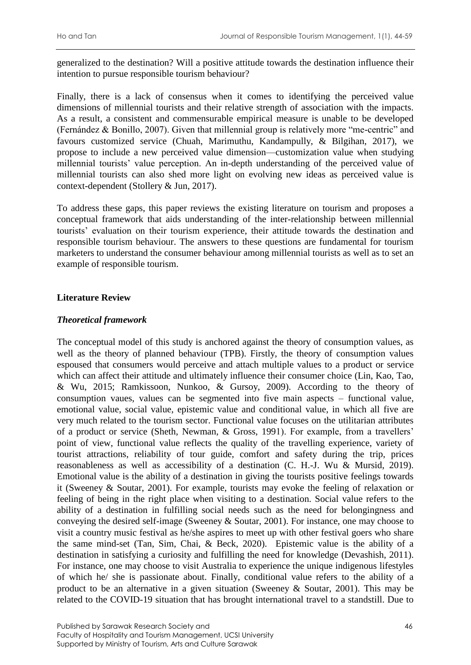generalized to the destination? Will a positive attitude towards the destination influence their intention to pursue responsible tourism behaviour?

Finally, there is a lack of consensus when it comes to identifying the perceived value dimensions of millennial tourists and their relative strength of association with the impacts. As a result, a consistent and commensurable empirical measure is unable to be developed (Fernández & Bonillo, 2007). Given that millennial group is relatively more "me-centric" and favours customized service (Chuah, Marimuthu, Kandampully, & Bilgihan, 2017), we propose to include a new perceived value dimension—customization value when studying millennial tourists' value perception. An in-depth understanding of the perceived value of millennial tourists can also shed more light on evolving new ideas as perceived value is context-dependent (Stollery & Jun, 2017).

To address these gaps, this paper reviews the existing literature on tourism and proposes a conceptual framework that aids understanding of the inter-relationship between millennial tourists' evaluation on their tourism experience, their attitude towards the destination and responsible tourism behaviour. The answers to these questions are fundamental for tourism marketers to understand the consumer behaviour among millennial tourists as well as to set an example of responsible tourism.

# **Literature Review**

# *Theoretical framework*

The conceptual model of this study is anchored against the theory of consumption values, as well as the theory of planned behaviour (TPB). Firstly, the theory of consumption values espoused that consumers would perceive and attach multiple values to a product or service which can affect their attitude and ultimately influence their consumer choice (Lin, Kao, Tao, & Wu, 2015; Ramkissoon, Nunkoo, & Gursoy, 2009). According to the theory of consumption vaues, values can be segmented into five main aspects – functional value, emotional value, social value, epistemic value and conditional value, in which all five are very much related to the tourism sector. Functional value focuses on the utilitarian attributes of a product or service (Sheth, Newman, & Gross, 1991). For example, from a travellers' point of view, functional value reflects the quality of the travelling experience, variety of tourist attractions, reliability of tour guide, comfort and safety during the trip, prices reasonableness as well as accessibility of a destination (C. H.-J. Wu & Mursid, 2019). Emotional value is the ability of a destination in giving the tourists positive feelings towards it (Sweeney & Soutar, 2001). For example, tourists may evoke the feeling of relaxation or feeling of being in the right place when visiting to a destination. Social value refers to the ability of a destination in fulfilling social needs such as the need for belongingness and conveying the desired self-image (Sweeney & Soutar, 2001). For instance, one may choose to visit a country music festival as he/she aspires to meet up with other festival goers who share the same mind-set (Tan, Sim, Chai, & Beck, 2020). Epistemic value is the ability of a destination in satisfying a curiosity and fulfilling the need for knowledge (Devashish, 2011). For instance, one may choose to visit Australia to experience the unique indigenous lifestyles of which he/ she is passionate about. Finally, conditional value refers to the ability of a product to be an alternative in a given situation (Sweeney & Soutar, 2001). This may be related to the COVID-19 situation that has brought international travel to a standstill. Due to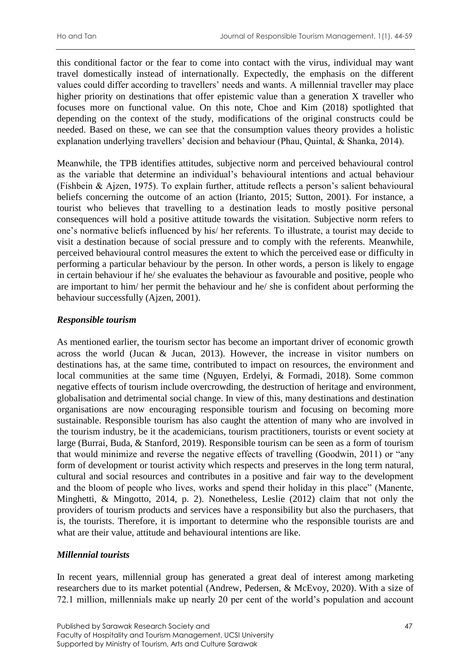this conditional factor or the fear to come into contact with the virus, individual may want travel domestically instead of internationally. Expectedly, the emphasis on the different values could differ according to travellers' needs and wants. A millennial traveller may place higher priority on destinations that offer epistemic value than a generation X traveller who focuses more on functional value. On this note, Choe and Kim (2018) spotlighted that depending on the context of the study, modifications of the original constructs could be needed. Based on these, we can see that the consumption values theory provides a holistic explanation underlying travellers' decision and behaviour (Phau, Quintal, & Shanka, 2014).

Meanwhile, the TPB identifies attitudes, subjective norm and perceived behavioural control as the variable that determine an individual's behavioural intentions and actual behaviour (Fishbein & Ajzen, 1975). To explain further, attitude reflects a person's salient behavioural beliefs concerning the outcome of an action (Irianto, 2015; Sutton, 2001). For instance, a tourist who believes that travelling to a destination leads to mostly positive personal consequences will hold a positive attitude towards the visitation. Subjective norm refers to one's normative beliefs influenced by his/ her referents. To illustrate, a tourist may decide to visit a destination because of social pressure and to comply with the referents. Meanwhile, perceived behavioural control measures the extent to which the perceived ease or difficulty in performing a particular behaviour by the person. In other words, a person is likely to engage in certain behaviour if he/ she evaluates the behaviour as favourable and positive, people who are important to him/ her permit the behaviour and he/ she is confident about performing the behaviour successfully (Ajzen, 2001).

# *Responsible tourism*

As mentioned earlier, the tourism sector has become an important driver of economic growth across the world (Jucan & Jucan, 2013). However, the increase in visitor numbers on destinations has, at the same time, contributed to impact on resources, the environment and local communities at the same time (Nguyen, Erdelyi, & Formadi, 2018). Some common negative effects of tourism include overcrowding, the destruction of heritage and environment, globalisation and detrimental social change. In view of this, many destinations and destination organisations are now encouraging responsible tourism and focusing on becoming more sustainable. Responsible tourism has also caught the attention of many who are involved in the tourism industry, be it the academicians, tourism practitioners, tourists or event society at large (Burrai, Buda, & Stanford, 2019). Responsible tourism can be seen as a form of tourism that would minimize and reverse the negative effects of travelling (Goodwin, 2011) or "any form of development or tourist activity which respects and preserves in the long term natural, cultural and social resources and contributes in a positive and fair way to the development and the bloom of people who lives, works and spend their holiday in this place" (Manente, Minghetti, & Mingotto, 2014, p. 2). Nonetheless, Leslie (2012) claim that not only the providers of tourism products and services have a responsibility but also the purchasers, that is, the tourists. Therefore, it is important to determine who the responsible tourists are and what are their value, attitude and behavioural intentions are like.

# *Millennial tourists*

In recent years, millennial group has generated a great deal of interest among marketing researchers due to its market potential (Andrew, Pedersen, & McEvoy, 2020). With a size of 72.1 million, millennials make up nearly 20 per cent of the world's population and account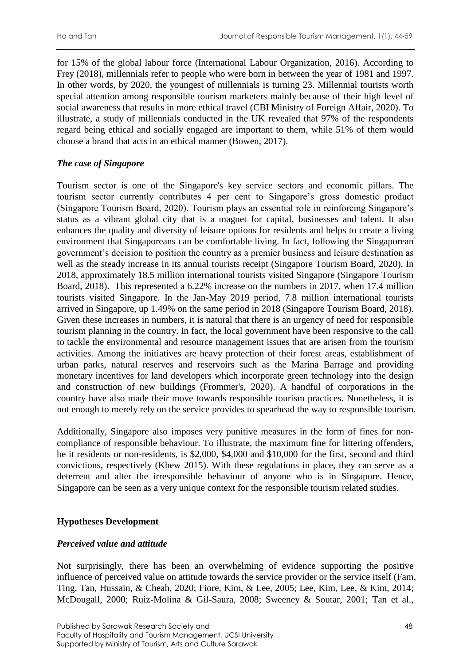for 15% of the global labour force (International Labour Organization, 2016). According to Frey (2018), millennials refer to people who were born in between the year of 1981 and 1997. In other words, by 2020, the youngest of millennials is turning 23. Millennial tourists worth special attention among responsible tourism marketers mainly because of their high level of social awareness that results in more ethical travel (CBI Ministry of Foreign Affair, 2020). To illustrate, a study of millennials conducted in the UK revealed that 97% of the respondents regard being ethical and socially engaged are important to them, while 51% of them would choose a brand that acts in an ethical manner (Bowen, 2017).

# *The case of Singapore*

Tourism sector is one of the Singapore's key service sectors and economic pillars. The tourism sector currently contributes 4 per cent to Singapore's gross domestic product (Singapore Tourism Board, 2020). Tourism plays an essential role in reinforcing Singapore's status as a vibrant global city that is a magnet for capital, businesses and talent. It also enhances the quality and diversity of leisure options for residents and helps to create a living environment that Singaporeans can be comfortable living. In fact, following the Singaporean government's decision to position the country as a premier business and leisure destination as well as the steady increase in its annual tourists receipt (Singapore Tourism Board, 2020). In 2018, approximately 18.5 million international tourists visited Singapore (Singapore Tourism Board, 2018). This represented a 6.22% increase on the numbers in 2017, when 17.4 million tourists visited Singapore. In the Jan-May 2019 period, 7.8 million international tourists arrived in Singapore, up 1.49% on the same period in 2018 (Singapore Tourism Board, 2018). Given these increases in numbers, it is natural that there is an urgency of need for responsible tourism planning in the country. In fact, the local government have been responsive to the call to tackle the environmental and resource management issues that are arisen from the tourism activities. Among the initiatives are heavy protection of their forest areas, establishment of urban parks, natural reserves and reservoirs such as the Marina Barrage and providing monetary incentives for land developers which incorporate green technology into the design and construction of new buildings (Frommer's, 2020). A handful of corporations in the country have also made their move towards responsible tourism practices. Nonetheless, it is not enough to merely rely on the service provides to spearhead the way to responsible tourism.

Additionally, Singapore also imposes very punitive measures in the form of fines for noncompliance of responsible behaviour. To illustrate, the maximum fine for littering offenders, be it residents or non-residents, is \$2,000, \$4,000 and \$10,000 for the first, second and third convictions, respectively (Khew 2015). With these regulations in place, they can serve as a deterrent and alter the irresponsible behaviour of anyone who is in Singapore. Hence, Singapore can be seen as a very unique context for the responsible tourism related studies.

# **Hypotheses Development**

### *Perceived value and attitude*

Not surprisingly, there has been an overwhelming of evidence supporting the positive influence of perceived value on attitude towards the service provider or the service itself (Fam, Ting, Tan, Hussain, & Cheah, 2020; Fiore, Kim, & Lee, 2005; Lee, Kim, Lee, & Kim, 2014; McDougall, 2000; Ruiz-Molina & Gil-Saura, 2008; Sweeney & Soutar, 2001; Tan et al.,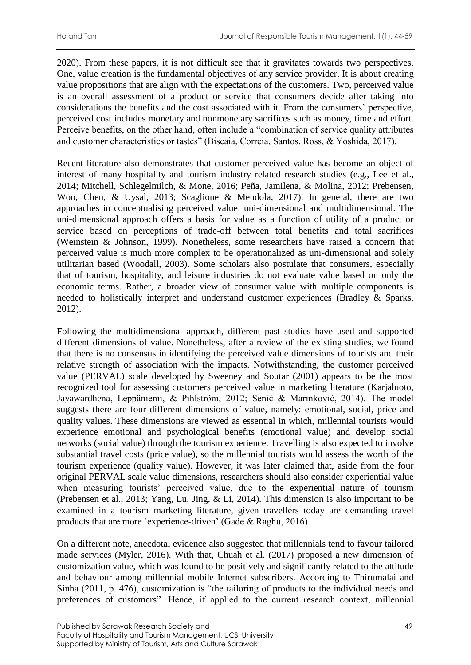2020). From these papers, it is not difficult see that it gravitates towards two perspectives. One, value creation is the fundamental objectives of any service provider. It is about creating value propositions that are align with the expectations of the customers. Two, perceived value is an overall assessment of a product or service that consumers decide after taking into considerations the benefits and the cost associated with it. From the consumers' perspective, perceived cost includes monetary and nonmonetary sacrifices such as money, time and effort. Perceive benefits, on the other hand, often include a "combination of service quality attributes and customer characteristics or tastes" (Biscaia, Correia, Santos, Ross, & Yoshida, 2017).

Recent literature also demonstrates that customer perceived value has become an object of interest of many hospitality and tourism industry related research studies (e.g., Lee et al., 2014; Mitchell, Schlegelmilch, & Mone, 2016; Peña, Jamilena, & Molina, 2012; Prebensen, Woo, Chen, & Uysal, 2013; Scaglione & Mendola, 2017). In general, there are two approaches in conceptualising perceived value: uni-dimensional and multidimensional. The uni-dimensional approach offers a basis for value as a function of utility of a product or service based on perceptions of trade-off between total benefits and total sacrifices (Weinstein & Johnson, 1999). Nonetheless, some researchers have raised a concern that perceived value is much more complex to be operationalized as uni-dimensional and solely utilitarian based (Woodall, 2003). Some scholars also postulate that consumers, especially that of tourism, hospitality, and leisure industries do not evaluate value based on only the economic terms. Rather, a broader view of consumer value with multiple components is needed to holistically interpret and understand customer experiences (Bradley & Sparks, 2012).

Following the multidimensional approach, different past studies have used and supported different dimensions of value. Nonetheless, after a review of the existing studies, we found that there is no consensus in identifying the perceived value dimensions of tourists and their relative strength of association with the impacts. Notwithstanding, the customer perceived value (PERVAL) scale developed by Sweeney and Soutar (2001) appears to be the most recognized tool for assessing customers perceived value in marketing literature (Karjaluoto, Jayawardhena, Leppäniemi, & Pihlström, 2012; Senić & Marinković, 2014). The model suggests there are four different dimensions of value, namely: emotional, social, price and quality values. These dimensions are viewed as essential in which, millennial tourists would experience emotional and psychological benefits (emotional value) and develop social networks (social value) through the tourism experience. Travelling is also expected to involve substantial travel costs (price value), so the millennial tourists would assess the worth of the tourism experience (quality value). However, it was later claimed that, aside from the four original PERVAL scale value dimensions, researchers should also consider experiential value when measuring tourists' perceived value, due to the experiential nature of tourism (Prebensen et al., 2013; Yang, Lu, Jing, & Li, 2014). This dimension is also important to be examined in a tourism marketing literature, given travellers today are demanding travel products that are more 'experience-driven' (Gade & Raghu, 2016).

On a different note, anecdotal evidence also suggested that millennials tend to favour tailored made services (Myler, 2016). With that, Chuah et al. (2017) proposed a new dimension of customization value, which was found to be positively and significantly related to the attitude and behaviour among millennial mobile Internet subscribers. According to Thirumalai and Sinha (2011, p. 476), customization is "the tailoring of products to the individual needs and preferences of customers". Hence, if applied to the current research context, millennial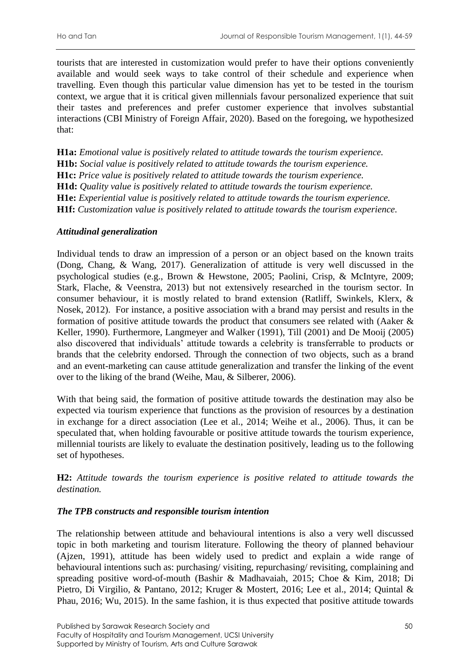tourists that are interested in customization would prefer to have their options conveniently available and would seek ways to take control of their schedule and experience when travelling. Even though this particular value dimension has yet to be tested in the tourism context, we argue that it is critical given millennials favour personalized experience that suit their tastes and preferences and prefer customer experience that involves substantial interactions (CBI Ministry of Foreign Affair, 2020). Based on the foregoing, we hypothesized that:

**H1a:** *Emotional value is positively related to attitude towards the tourism experience.* **H1b:** *Social value is positively related to attitude towards the tourism experience.* **H1c:** *Price value is positively related to attitude towards the tourism experience.* **H1d:** *Quality value is positively related to attitude towards the tourism experience.* **H1e:** *Experiential value is positively related to attitude towards the tourism experience.* **H1f:** *Customization value is positively related to attitude towards the tourism experience.*

### *Attitudinal generalization*

Individual tends to draw an impression of a person or an object based on the known traits (Dong, Chang, & Wang, 2017). Generalization of attitude is very well discussed in the psychological studies (e.g., Brown & Hewstone, 2005; Paolini, Crisp, & McIntyre, 2009; Stark, Flache, & Veenstra, 2013) but not extensively researched in the tourism sector. In consumer behaviour, it is mostly related to brand extension (Ratliff, Swinkels, Klerx, & Nosek, 2012). For instance, a positive association with a brand may persist and results in the formation of positive attitude towards the product that consumers see related with (Aaker & Keller, 1990). Furthermore, Langmeyer and Walker (1991), Till (2001) and De Mooij (2005) also discovered that individuals' attitude towards a celebrity is transferrable to products or brands that the celebrity endorsed. Through the connection of two objects, such as a brand and an event-marketing can cause attitude generalization and transfer the linking of the event over to the liking of the brand (Weihe, Mau, & Silberer, 2006).

With that being said, the formation of positive attitude towards the destination may also be expected via tourism experience that functions as the provision of resources by a destination in exchange for a direct association (Lee et al., 2014; Weihe et al., 2006). Thus, it can be speculated that, when holding favourable or positive attitude towards the tourism experience, millennial tourists are likely to evaluate the destination positively, leading us to the following set of hypotheses.

**H2:** *Attitude towards the tourism experience is positive related to attitude towards the destination.*

### *The TPB constructs and responsible tourism intention*

The relationship between attitude and behavioural intentions is also a very well discussed topic in both marketing and tourism literature. Following the theory of planned behaviour (Ajzen, 1991), attitude has been widely used to predict and explain a wide range of behavioural intentions such as: purchasing/ visiting, repurchasing/ revisiting, complaining and spreading positive word-of-mouth (Bashir & Madhavaiah, 2015; Choe & Kim, 2018; Di Pietro, Di Virgilio, & Pantano, 2012; Kruger & Mostert, 2016; Lee et al., 2014; Quintal & Phau, 2016; Wu, 2015). In the same fashion, it is thus expected that positive attitude towards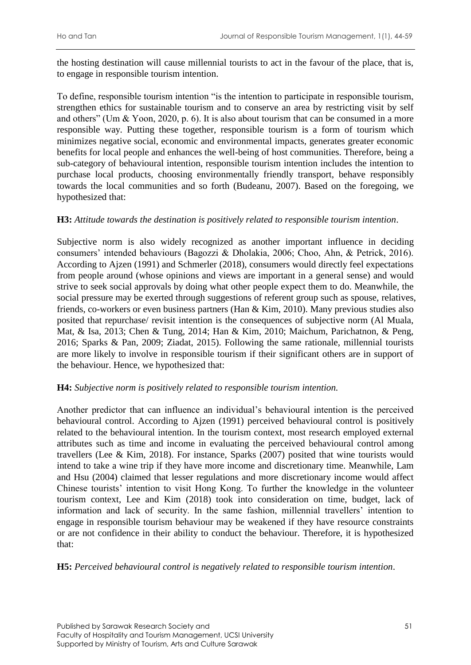the hosting destination will cause millennial tourists to act in the favour of the place, that is, to engage in responsible tourism intention.

To define, responsible tourism intention "is the intention to participate in responsible tourism, strengthen ethics for sustainable tourism and to conserve an area by restricting visit by self and others" (Um & Yoon, 2020, p. 6). It is also about tourism that can be consumed in a more responsible way. Putting these together, responsible tourism is a form of tourism which minimizes negative social, economic and environmental impacts, generates greater economic benefits for local people and enhances the well-being of host communities. Therefore, being a sub-category of behavioural intention, responsible tourism intention includes the intention to purchase local products, choosing environmentally friendly transport, behave responsibly towards the local communities and so forth (Budeanu, 2007). Based on the foregoing, we hypothesized that:

### **H3:** *Attitude towards the destination is positively related to responsible tourism intention*.

Subjective norm is also widely recognized as another important influence in deciding consumers' intended behaviours (Bagozzi & Dholakia, 2006; Choo, Ahn, & Petrick, 2016). According to Ajzen (1991) and Schmerler (2018), consumers would directly feel expectations from people around (whose opinions and views are important in a general sense) and would strive to seek social approvals by doing what other people expect them to do. Meanwhile, the social pressure may be exerted through suggestions of referent group such as spouse, relatives, friends, co-workers or even business partners (Han & Kim, 2010). Many previous studies also posited that repurchase/ revisit intention is the consequences of subjective norm (Al Muala, Mat, & Isa, 2013; Chen & Tung, 2014; Han & Kim, 2010; Maichum, Parichatnon, & Peng, 2016; Sparks & Pan, 2009; Ziadat, 2015). Following the same rationale, millennial tourists are more likely to involve in responsible tourism if their significant others are in support of the behaviour. Hence, we hypothesized that:

#### **H4:** *Subjective norm is positively related to responsible tourism intention.*

Another predictor that can influence an individual's behavioural intention is the perceived behavioural control. According to Ajzen (1991) perceived behavioural control is positively related to the behavioural intention. In the tourism context, most research employed external attributes such as time and income in evaluating the perceived behavioural control among travellers (Lee & Kim, 2018). For instance, Sparks (2007) posited that wine tourists would intend to take a wine trip if they have more income and discretionary time. Meanwhile, Lam and Hsu (2004) claimed that lesser regulations and more discretionary income would affect Chinese tourists' intention to visit Hong Kong. To further the knowledge in the volunteer tourism context, Lee and Kim (2018) took into consideration on time, budget, lack of information and lack of security. In the same fashion, millennial travellers' intention to engage in responsible tourism behaviour may be weakened if they have resource constraints or are not confidence in their ability to conduct the behaviour. Therefore, it is hypothesized that:

**H5:** *Perceived behavioural control is negatively related to responsible tourism intention*.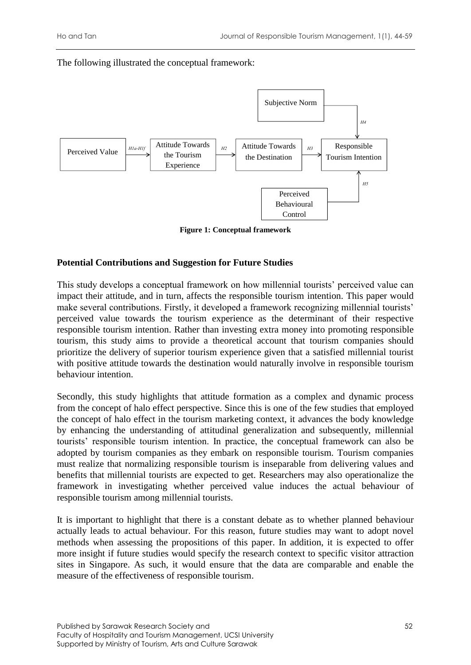The following illustrated the conceptual framework:



**Figure 1: Conceptual framework**

### **Potential Contributions and Suggestion for Future Studies**

This study develops a conceptual framework on how millennial tourists' perceived value can impact their attitude, and in turn, affects the responsible tourism intention. This paper would make several contributions. Firstly, it developed a framework recognizing millennial tourists' perceived value towards the tourism experience as the determinant of their respective responsible tourism intention. Rather than investing extra money into promoting responsible tourism, this study aims to provide a theoretical account that tourism companies should prioritize the delivery of superior tourism experience given that a satisfied millennial tourist with positive attitude towards the destination would naturally involve in responsible tourism behaviour intention.

Secondly, this study highlights that attitude formation as a complex and dynamic process from the concept of halo effect perspective. Since this is one of the few studies that employed the concept of halo effect in the tourism marketing context, it advances the body knowledge by enhancing the understanding of attitudinal generalization and subsequently, millennial tourists' responsible tourism intention. In practice, the conceptual framework can also be adopted by tourism companies as they embark on responsible tourism. Tourism companies must realize that normalizing responsible tourism is inseparable from delivering values and benefits that millennial tourists are expected to get. Researchers may also operationalize the framework in investigating whether perceived value induces the actual behaviour of responsible tourism among millennial tourists.

It is important to highlight that there is a constant debate as to whether planned behaviour actually leads to actual behaviour. For this reason, future studies may want to adopt novel methods when assessing the propositions of this paper. In addition, it is expected to offer more insight if future studies would specify the research context to specific visitor attraction sites in Singapore. As such, it would ensure that the data are comparable and enable the measure of the effectiveness of responsible tourism.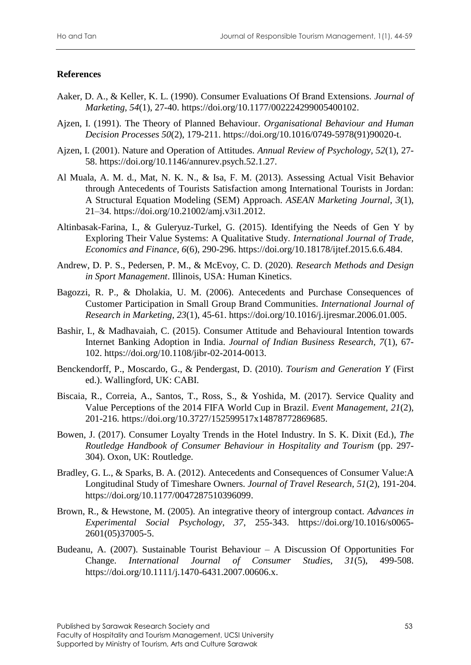# **References**

- Aaker, D. A., & Keller, K. L. (1990). Consumer Evaluations Of Brand Extensions. *Journal of Marketing, 54*(1), 27-40. https://doi.org/10.1177/002224299005400102.
- Ajzen, I. (1991). The Theory of Planned Behaviour. *Organisational Behaviour and Human Decision Processes 50*(2), 179-211. https://doi.org/10.1016/0749-5978(91)90020-t.
- Ajzen, I. (2001). Nature and Operation of Attitudes. *Annual Review of Psychology, 52*(1), 27- 58. https://doi.org/10.1146/annurev.psych.52.1.27.
- Al Muala, A. M. d., Mat, N. K. N., & Isa, F. M. (2013). Assessing Actual Visit Behavior through Antecedents of Tourists Satisfaction among International Tourists in Jordan: A Structural Equation Modeling (SEM) Approach. *ASEAN Marketing Journal*, *3*(1), 21–34. https://doi.org/10.21002/amj.v3i1.2012.
- Altinbasak-Farina, I., & Guleryuz-Turkel, G. (2015). Identifying the Needs of Gen Y by Exploring Their Value Systems: A Qualitative Study. *International Journal of Trade, Economics and Finance, 6*(6), 290-296. https://doi.org/10.18178/ijtef.2015.6.6.484.
- Andrew, D. P. S., Pedersen, P. M., & McEvoy, C. D. (2020). *Research Methods and Design in Sport Management*. Illinois, USA: Human Kinetics.
- Bagozzi, R. P., & Dholakia, U. M. (2006). Antecedents and Purchase Consequences of Customer Participation in Small Group Brand Communities. *International Journal of Research in Marketing, 23*(1), 45-61. https://doi.org/10.1016/j.ijresmar.2006.01.005.
- Bashir, I., & Madhavaiah, C. (2015). Consumer Attitude and Behavioural Intention towards Internet Banking Adoption in India. *Journal of Indian Business Research, 7*(1), 67- 102. https://doi.org/10.1108/jibr-02-2014-0013.
- Benckendorff, P., Moscardo, G., & Pendergast, D. (2010). *Tourism and Generation Y* (First ed.). Wallingford, UK: CABI.
- Biscaia, R., Correia, A., Santos, T., Ross, S., & Yoshida, M. (2017). Service Quality and Value Perceptions of the 2014 FIFA World Cup in Brazil. *Event Management, 21*(2), 201-216. https://doi.org/10.3727/152599517x14878772869685.
- Bowen, J. (2017). Consumer Loyalty Trends in the Hotel Industry. In S. K. Dixit (Ed.), *The Routledge Handbook of Consumer Behaviour in Hospitality and Tourism* (pp. 297- 304). Oxon, UK: Routledge.
- Bradley, G. L., & Sparks, B. A. (2012). Antecedents and Consequences of Consumer Value:A Longitudinal Study of Timeshare Owners. *Journal of Travel Research, 51*(2), 191-204. https://doi.org/10.1177/0047287510396099.
- Brown, R., & Hewstone, M. (2005). An integrative theory of intergroup contact. *Advances in Experimental Social Psychology, 37*, 255-343. https://doi.org/10.1016/s0065- 2601(05)37005-5.
- Budeanu, A. (2007). Sustainable Tourist Behaviour A Discussion Of Opportunities For Change. *International Journal of Consumer Studies, 31*(5), 499-508. https://doi.org/10.1111/j.1470-6431.2007.00606.x.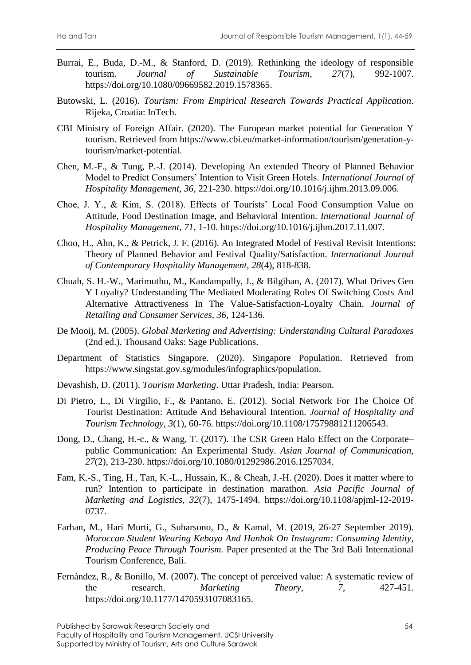- Burrai, E., Buda, D.-M., & Stanford, D. (2019). Rethinking the ideology of responsible tourism. *Journal of Sustainable Tourism, 27*(7), 992-1007. https://doi.org/10.1080/09669582.2019.1578365.
- Butowski, L. (2016). *Tourism: From Empirical Research Towards Practical Application*. Rijeka, Croatia: InTech.
- CBI Ministry of Foreign Affair. (2020). The European market potential for Generation Y tourism. Retrieved from https://www.cbi.eu/market-information/tourism/generation-ytourism/market-potential.
- Chen, M.-F., & Tung, P.-J. (2014). Developing An extended Theory of Planned Behavior Model to Predict Consumers' Intention to Visit Green Hotels. *International Journal of Hospitality Management, 36*, 221-230. https://doi.org/10.1016/j.ijhm.2013.09.006.
- Choe, J. Y., & Kim, S. (2018). Effects of Tourists' Local Food Consumption Value on Attitude, Food Destination Image, and Behavioral Intention. *International Journal of Hospitality Management, 71*, 1-10. https://doi.org/10.1016/j.ijhm.2017.11.007.
- Choo, H., Ahn, K., & Petrick, J. F. (2016). An Integrated Model of Festival Revisit Intentions: Theory of Planned Behavior and Festival Quality/Satisfaction. *International Journal of Contemporary Hospitality Management, 28*(4), 818-838.
- Chuah, S. H.-W., Marimuthu, M., Kandampully, J., & Bilgihan, A. (2017). What Drives Gen Y Loyalty? Understanding The Mediated Moderating Roles Of Switching Costs And Alternative Attractiveness In The Value-Satisfaction-Loyalty Chain. *Journal of Retailing and Consumer Services, 36*, 124-136.
- De Mooij, M. (2005). *Global Marketing and Advertising: Understanding Cultural Paradoxes* (2nd ed.). Thousand Oaks: Sage Publications.
- Department of Statistics Singapore. (2020). Singapore Population. Retrieved from https://www.singstat.gov.sg/modules/infographics/population.
- Devashish, D. (2011). *Tourism Marketing*. Uttar Pradesh, India: Pearson.
- Di Pietro, L., Di Virgilio, F., & Pantano, E. (2012). Social Network For The Choice Of Tourist Destination: Attitude And Behavioural Intention. *Journal of Hospitality and Tourism Technology, 3*(1), 60-76. https://doi.org/10.1108/17579881211206543.
- Dong, D., Chang, H.-c., & Wang, T. (2017). The CSR Green Halo Effect on the Corporate– public Communication: An Experimental Study. *Asian Journal of Communication, 27*(2), 213-230. https://doi.org/10.1080/01292986.2016.1257034.
- Fam, K.-S., Ting, H., Tan, K.-L., Hussain, K., & Cheah, J.-H. (2020). Does it matter where to run? Intention to participate in destination marathon. *Asia Pacific Journal of Marketing and Logistics, 32*(7), 1475-1494. https://doi.org/10.1108/apjml-12-2019- 0737.
- Farhan, M., Hari Murti, G., Suharsono, D., & Kamal, M. (2019, 26-27 September 2019). *Moroccan Student Wearing Kebaya And Hanbok On Instagram: Consuming Identity, Producing Peace Through Tourism.* Paper presented at the The 3rd Bali International Tourism Conference, Bali.
- Fernández, R., & Bonillo, M. (2007). The concept of perceived value: A systematic review of the research. *Marketing Theory*, 7, 427-451. https://doi.org/10.1177/1470593107083165.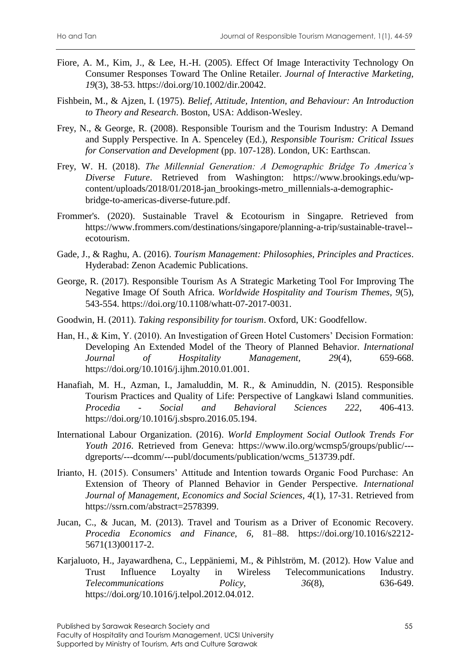- Fiore, A. M., Kim, J., & Lee, H.-H. (2005). Effect Of Image Interactivity Technology On Consumer Responses Toward The Online Retailer. *Journal of Interactive Marketing, 19*(3), 38-53. https://doi.org/10.1002/dir.20042.
- Fishbein, M., & Ajzen, I. (1975). *Belief, Attitude, Intention, and Behaviour: An Introduction to Theory and Research*. Boston, USA: Addison-Wesley.
- Frey, N., & George, R. (2008). Responsible Tourism and the Tourism Industry: A Demand and Supply Perspective. In A. Spenceley (Ed.), *Responsible Tourism: Critical Issues for Conservation and Development* (pp. 107-128). London, UK: Earthscan.
- Frey, W. H. (2018). *The Millennial Generation: A Demographic Bridge To America's Diverse Future*. Retrieved from Washington: https://www.brookings.edu/wpcontent/uploads/2018/01/2018-jan\_brookings-metro\_millennials-a-demographicbridge-to-americas-diverse-future.pdf.
- Frommer's. (2020). Sustainable Travel & Ecotourism in Singapre. Retrieved from https://www.frommers.com/destinations/singapore/planning-a-trip/sustainable-travel- ecotourism.
- Gade, J., & Raghu, A. (2016). *Tourism Management: Philosophies, Principles and Practices*. Hyderabad: Zenon Academic Publications.
- George, R. (2017). Responsible Tourism As A Strategic Marketing Tool For Improving The Negative Image Of South Africa. *Worldwide Hospitality and Tourism Themes, 9*(5), 543-554. https://doi.org/10.1108/whatt-07-2017-0031.
- Goodwin, H. (2011). *Taking responsibility for tourism*. Oxford, UK: Goodfellow.
- Han, H., & Kim, Y. (2010). An Investigation of Green Hotel Customers' Decision Formation: Developing An Extended Model of the Theory of Planned Behavior. *International Journal of Hospitality Management, 29*(4), 659-668. https://doi.org/10.1016/j.ijhm.2010.01.001.
- Hanafiah, M. H., Azman, I., Jamaluddin, M. R., & Aminuddin, N. (2015). Responsible Tourism Practices and Quality of Life: Perspective of Langkawi Island communities. *Procedia - Social and Behavioral Sciences 222*, 406-413. https://doi.org/10.1016/j.sbspro.2016.05.194.
- International Labour Organization. (2016). *World Employment Social Outlook Trends For Youth 2016*. Retrieved from Geneva: https://www.ilo.org/wcmsp5/groups/public/-- dgreports/---dcomm/---publ/documents/publication/wcms\_513739.pdf.
- Irianto, H. (2015). Consumers' Attitude and Intention towards Organic Food Purchase: An Extension of Theory of Planned Behavior in Gender Perspective. *International Journal of Management, Economics and Social Sciences, 4*(1), 17-31. Retrieved from https://ssrn.com/abstract=2578399.
- Jucan, C., & Jucan, M. (2013). Travel and Tourism as a Driver of Economic Recovery. *Procedia Economics and Finance, 6*, 81–88. https://doi.org/10.1016/s2212- 5671(13)00117-2.
- Karjaluoto, H., Jayawardhena, C., Leppäniemi, M., & Pihlström, M. (2012). How Value and Trust Influence Loyalty in Wireless Telecommunications Industry. *Telecommunications Policy,* 36(8), 636-649. https://doi.org/10.1016/j.telpol.2012.04.012.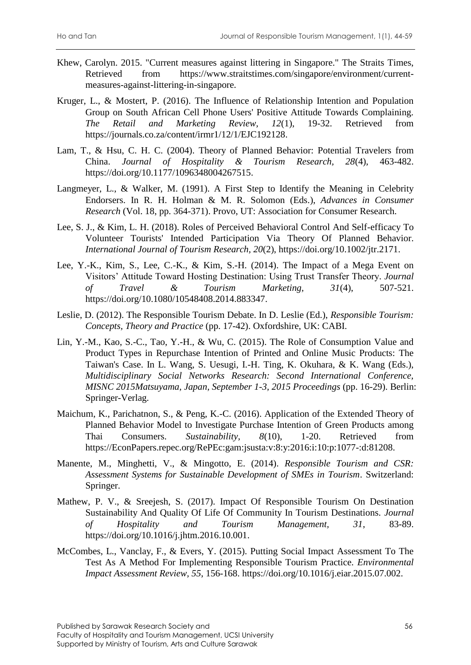- Khew, Carolyn. 2015. "Current measures against littering in Singapore." The Straits Times, Retrieved from https://www.straitstimes.com/singapore/environment/currentmeasures-against-littering-in-singapore.
- Kruger, L., & Mostert, P. (2016). The Influence of Relationship Intention and Population Group on South African Cell Phone Users' Positive Attitude Towards Complaining. *The Retail and Marketing Review, 12*(1), 19-32. Retrieved from https://journals.co.za/content/irmr1/12/1/EJC192128.
- Lam, T., & Hsu, C. H. C. (2004). Theory of Planned Behavior: Potential Travelers from China. *Journal of Hospitality & Tourism Research, 28*(4), 463-482. https://doi.org/10.1177/1096348004267515.
- Langmeyer, L., & Walker, M. (1991). A First Step to Identify the Meaning in Celebrity Endorsers. In R. H. Holman & M. R. Solomon (Eds.), *Advances in Consumer Research* (Vol. 18, pp. 364-371). Provo, UT: Association for Consumer Research.
- Lee, S. J., & Kim, L. H. (2018). Roles of Perceived Behavioral Control And Self-efficacy To Volunteer Tourists' Intended Participation Via Theory Of Planned Behavior. *International Journal of Tourism Research, 20*(2), https://doi.org/10.1002/jtr.2171.
- Lee, Y.-K., Kim, S., Lee, C.-K., & Kim, S.-H. (2014). The Impact of a Mega Event on Visitors' Attitude Toward Hosting Destination: Using Trust Transfer Theory. *Journal of Travel & Tourism Marketing, 31*(4), 507-521. https://doi.org/10.1080/10548408.2014.883347.
- Leslie, D. (2012). The Responsible Tourism Debate. In D. Leslie (Ed.), *Responsible Tourism: Concepts, Theory and Practice* (pp. 17-42). Oxfordshire, UK: CABI.
- Lin, Y.-M., Kao, S.-C., Tao, Y.-H., & Wu, C. (2015). The Role of Consumption Value and Product Types in Repurchase Intention of Printed and Online Music Products: The Taiwan's Case. In L. Wang, S. Uesugi, I.-H. Ting, K. Okuhara, & K. Wang (Eds.), *Multidisciplinary Social Networks Research: Second International Conference, MISNC 2015Matsuyama, Japan, September 1-3, 2015 Proceedings* (pp. 16-29). Berlin: Springer-Verlag.
- Maichum, K., Parichatnon, S., & Peng, K.-C. (2016). Application of the Extended Theory of Planned Behavior Model to Investigate Purchase Intention of Green Products among Thai Consumers. *Sustainability, 8*(10), 1-20. Retrieved from https://EconPapers.repec.org/RePEc:gam:jsusta:v:8:y:2016:i:10:p:1077-:d:81208.
- Manente, M., Minghetti, V., & Mingotto, E. (2014). *Responsible Tourism and CSR: Assessment Systems for Sustainable Development of SMEs in Tourism*. Switzerland: Springer.
- Mathew, P. V., & Sreejesh, S. (2017). Impact Of Responsible Tourism On Destination Sustainability And Quality Of Life Of Community In Tourism Destinations. *Journal of Hospitality and Tourism Management, 31*, 83-89. https://doi.org/10.1016/j.jhtm.2016.10.001.
- McCombes, L., Vanclay, F., & Evers, Y. (2015). Putting Social Impact Assessment To The Test As A Method For Implementing Responsible Tourism Practice. *Environmental Impact Assessment Review, 55*, 156-168. https://doi.org/10.1016/j.eiar.2015.07.002.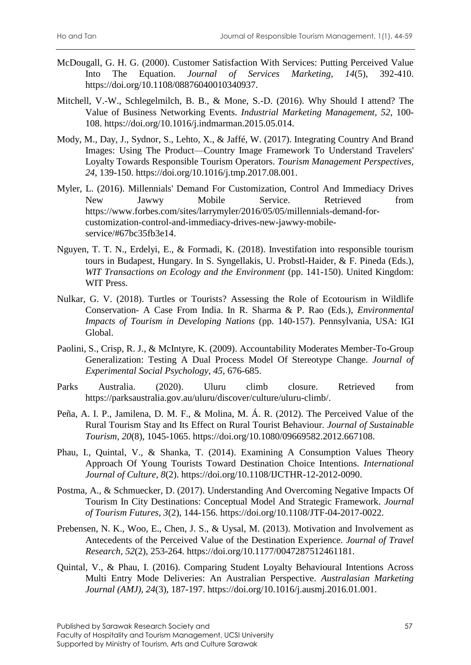- McDougall, G. H. G. (2000). Customer Satisfaction With Services: Putting Perceived Value Into The Equation. *Journal of Services Marketing, 14*(5), 392-410. https://doi.org/10.1108/08876040010340937.
- Mitchell, V.-W., Schlegelmilch, B. B., & Mone, S.-D. (2016). Why Should I attend? The Value of Business Networking Events. *Industrial Marketing Management, 52*, 100- 108. https://doi.org/10.1016/j.indmarman.2015.05.014.
- Mody, M., Day, J., Sydnor, S., Lehto, X., & Jaffé, W. (2017). Integrating Country And Brand Images: Using The Product—Country Image Framework To Understand Travelers' Loyalty Towards Responsible Tourism Operators. *Tourism Management Perspectives, 24*, 139-150. https://doi.org/10.1016/j.tmp.2017.08.001.
- Myler, L. (2016). Millennials' Demand For Customization, Control And Immediacy Drives New Jawwy Mobile Service. Retrieved from https://www.forbes.com/sites/larrymyler/2016/05/05/millennials-demand-forcustomization-control-and-immediacy-drives-new-jawwy-mobileservice/#67bc35fb3e14.
- Nguyen, T. T. N., Erdelyi, E., & Formadi, K. (2018). Investifation into responsible tourism tours in Budapest, Hungary. In S. Syngellakis, U. Probstl-Haider, & F. Pineda (Eds.), *WIT Transactions on Ecology and the Environment* (pp. 141-150). United Kingdom: WIT Press.
- Nulkar, G. V. (2018). Turtles or Tourists? Assessing the Role of Ecotourism in Wildlife Conservation- A Case From India. In R. Sharma & P. Rao (Eds.), *Environmental Impacts of Tourism in Developing Nations* (pp. 140-157). Pennsylvania, USA: IGI Global.
- Paolini, S., Crisp, R. J., & McIntyre, K. (2009). Accountability Moderates Member-To-Group Generalization: Testing A Dual Process Model Of Stereotype Change. *Journal of Experimental Social Psychology, 45*, 676-685.
- Parks Australia. (2020). Uluru climb closure. Retrieved from https://parksaustralia.gov.au/uluru/discover/culture/uluru-climb/.
- Peña, A. I. P., Jamilena, D. M. F., & Molina, M. Á. R. (2012). The Perceived Value of the Rural Tourism Stay and Its Effect on Rural Tourist Behaviour. *Journal of Sustainable Tourism, 20*(8), 1045-1065. https://doi.org/10.1080/09669582.2012.667108.
- Phau, I., Quintal, V., & Shanka, T. (2014). Examining A Consumption Values Theory Approach Of Young Tourists Toward Destination Choice Intentions. *International Journal of Culture, 8*(2). https://doi.org/10.1108/IJCTHR-12-2012-0090.
- Postma, A., & Schmuecker, D. (2017). Understanding And Overcoming Negative Impacts Of Tourism In City Destinations: Conceptual Model And Strategic Framework. *Journal of Tourism Futures, 3*(2), 144-156. https://doi.org/10.1108/JTF-04-2017-0022.
- Prebensen, N. K., Woo, E., Chen, J. S., & Uysal, M. (2013). Motivation and Involvement as Antecedents of the Perceived Value of the Destination Experience. *Journal of Travel Research, 52*(2), 253-264. https://doi.org/10.1177/0047287512461181.
- Quintal, V., & Phau, I. (2016). Comparing Student Loyalty Behavioural Intentions Across Multi Entry Mode Deliveries: An Australian Perspective. *Australasian Marketing Journal (AMJ), 24*(3), 187-197. https://doi.org/10.1016/j.ausmj.2016.01.001.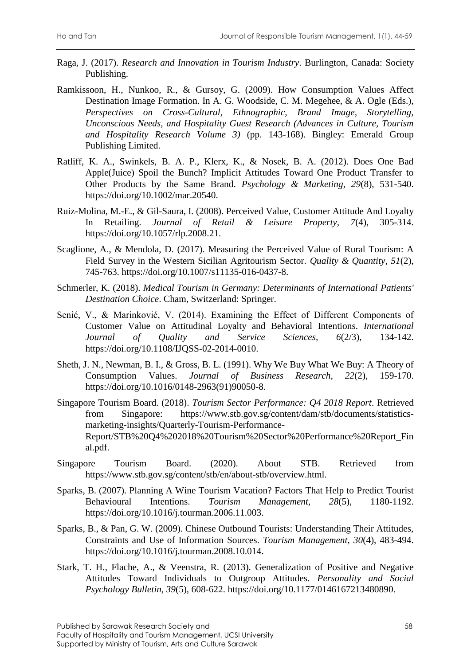- Raga, J. (2017). *Research and Innovation in Tourism Industry*. Burlington, Canada: Society Publishing.
- Ramkissoon, H., Nunkoo, R., & Gursoy, G. (2009). How Consumption Values Affect Destination Image Formation. In A. G. Woodside, C. M. Megehee, & A. Ogle (Eds.), *Perspectives on Cross-Cultural, Ethnographic, Brand Image, Storytelling, Unconscious Needs, and Hospitality Guest Research (Advances in Culture, Tourism and Hospitality Research Volume 3)* (pp. 143-168). Bingley: Emerald Group Publishing Limited.
- Ratliff, K. A., Swinkels, B. A. P., Klerx, K., & Nosek, B. A. (2012). Does One Bad Apple(Juice) Spoil the Bunch? Implicit Attitudes Toward One Product Transfer to Other Products by the Same Brand. *Psychology & Marketing, 29*(8), 531-540. https://doi.org/10.1002/mar.20540.
- Ruiz-Molina, M.-E., & Gil-Saura, I. (2008). Perceived Value, Customer Attitude And Loyalty In Retailing. *Journal of Retail & Leisure Property, 7*(4), 305-314. https://doi.org/10.1057/rlp.2008.21.
- Scaglione, A., & Mendola, D. (2017). Measuring the Perceived Value of Rural Tourism: A Field Survey in the Western Sicilian Agritourism Sector. *Quality & Quantity, 51*(2), 745-763. https://doi.org/10.1007/s11135-016-0437-8.
- Schmerler, K. (2018). *Medical Tourism in Germany: Determinants of International Patients' Destination Choice*. Cham, Switzerland: Springer.
- Senić, V., & Marinković, V. (2014). Examining the Effect of Different Components of Customer Value on Attitudinal Loyalty and Behavioral Intentions. *International Journal of Quality and Service Sciences, 6*(2/3), 134-142. https://doi.org/10.1108/IJQSS-02-2014-0010.
- Sheth, J. N., Newman, B. I., & Gross, B. L. (1991). Why We Buy What We Buy: A Theory of Consumption Values. *Journal of Business Research, 22*(2), 159-170. https://doi.org/10.1016/0148-2963(91)90050-8.
- Singapore Tourism Board. (2018). *Tourism Sector Performance: Q4 2018 Report*. Retrieved from Singapore: https://www.stb.gov.sg/content/dam/stb/documents/statisticsmarketing-insights/Quarterly-Tourism-Performance-Report/STB%20Q4%202018%20Tourism%20Sector%20Performance%20Report\_Fin al.pdf.
- Singapore Tourism Board. (2020). About STB. Retrieved from https://www.stb.gov.sg/content/stb/en/about-stb/overview.html.
- Sparks, B. (2007). Planning A Wine Tourism Vacation? Factors That Help to Predict Tourist Behavioural Intentions. *Tourism Management, 28*(5), 1180-1192. https://doi.org/10.1016/j.tourman.2006.11.003.
- Sparks, B., & Pan, G. W. (2009). Chinese Outbound Tourists: Understanding Their Attitudes, Constraints and Use of Information Sources. *Tourism Management, 30*(4), 483-494. https://doi.org/10.1016/j.tourman.2008.10.014.
- Stark, T. H., Flache, A., & Veenstra, R. (2013). Generalization of Positive and Negative Attitudes Toward Individuals to Outgroup Attitudes. *Personality and Social Psychology Bulletin, 39*(5), 608-622. https://doi.org/10.1177/0146167213480890.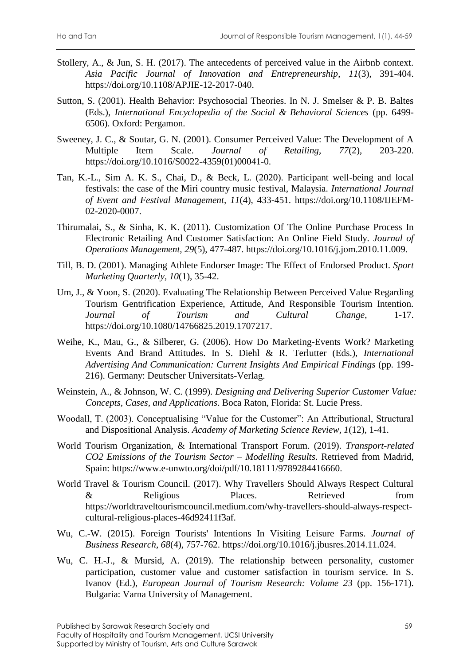- Stollery, A., & Jun, S. H. (2017). The antecedents of perceived value in the Airbnb context. *Asia Pacific Journal of Innovation and Entrepreneurship*, *11*(3), 391-404. https://doi.org/10.1108/APJIE-12-2017-040.
- Sutton, S. (2001). Health Behavior: Psychosocial Theories. In N. J. Smelser & P. B. Baltes (Eds.), *International Encyclopedia of the Social & Behavioral Sciences* (pp. 6499- 6506). Oxford: Pergamon.
- Sweeney, J. C., & Soutar, G. N. (2001). Consumer Perceived Value: The Development of A Multiple Item Scale. *Journal of Retailing, 77*(2), 203-220. https://doi.org/10.1016/S0022-4359(01)00041-0.
- Tan, K.-L., Sim A. K. S., Chai, D., & Beck, L. (2020). Participant well-being and local festivals: the case of the Miri country music festival, Malaysia. *International Journal of Event and Festival Management, 11*(4), 433-451. https://doi.org/10.1108/IJEFM-02-2020-0007.
- Thirumalai, S., & Sinha, K. K. (2011). Customization Of The Online Purchase Process In Electronic Retailing And Customer Satisfaction: An Online Field Study. *Journal of Operations Management, 29*(5), 477-487. https://doi.org/10.1016/j.jom.2010.11.009.
- Till, B. D. (2001). Managing Athlete Endorser Image: The Effect of Endorsed Product. *Sport Marketing Quarterly, 10*(1), 35-42.
- Um, J., & Yoon, S. (2020). Evaluating The Relationship Between Perceived Value Regarding Tourism Gentrification Experience, Attitude, And Responsible Tourism Intention. *Journal of Tourism and Cultural Change*, 1-17. https://doi.org/10.1080/14766825.2019.1707217.
- Weihe, K., Mau, G., & Silberer, G. (2006). How Do Marketing-Events Work? Marketing Events And Brand Attitudes. In S. Diehl & R. Terlutter (Eds.), *International Advertising And Communication: Current Insights And Empirical Findings* (pp. 199- 216). Germany: Deutscher Universitats-Verlag.
- Weinstein, A., & Johnson, W. C. (1999). *Designing and Delivering Superior Customer Value: Concepts, Cases, and Applications*. Boca Raton, Florida: St. Lucie Press.
- Woodall, T. (2003). Conceptualising "Value for the Customer": An Attributional, Structural and Dispositional Analysis. *Academy of Marketing Science Review, 1*(12), 1-41.
- World Tourism Organization, & International Transport Forum. (2019). *Transport-related CO2 Emissions of the Tourism Sector – Modelling Results*. Retrieved from Madrid, Spain: https://www.e-unwto.org/doi/pdf/10.18111/9789284416660.
- World Travel & Tourism Council. (2017). Why Travellers Should Always Respect Cultural & Religious Places. Retrieved from https://worldtraveltourismcouncil.medium.com/why-travellers-should-always-respectcultural-religious-places-46d92411f3af.
- Wu, C.-W. (2015). Foreign Tourists' Intentions In Visiting Leisure Farms. *Journal of Business Research, 68*(4), 757-762. https://doi.org/10.1016/j.jbusres.2014.11.024.
- Wu, C. H.-J., & Mursid, A. (2019). The relationship between personality, customer participation, customer value and customer satisfaction in tourism service. In S. Ivanov (Ed.), *European Journal of Tourism Research: Volume 23* (pp. 156-171). Bulgaria: Varna University of Management.